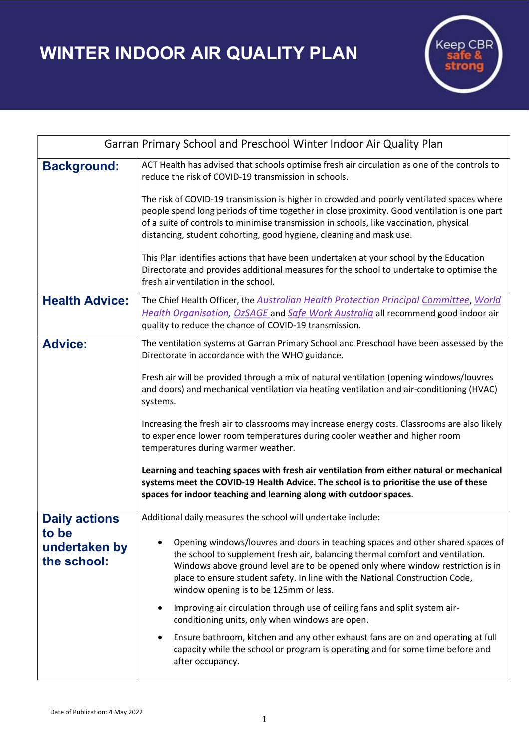WINTER INDOOR AIR QUALITY PLAN



| Garran Primary School and Preschool Winter Indoor Air Quality Plan |                                                                                                                                                                                                                                                                                                                                                                                |
|--------------------------------------------------------------------|--------------------------------------------------------------------------------------------------------------------------------------------------------------------------------------------------------------------------------------------------------------------------------------------------------------------------------------------------------------------------------|
| <b>Background:</b>                                                 | ACT Health has advised that schools optimise fresh air circulation as one of the controls to<br>reduce the risk of COVID-19 transmission in schools.                                                                                                                                                                                                                           |
|                                                                    | The risk of COVID-19 transmission is higher in crowded and poorly ventilated spaces where<br>people spend long periods of time together in close proximity. Good ventilation is one part<br>of a suite of controls to minimise transmission in schools, like vaccination, physical<br>distancing, student cohorting, good hygiene, cleaning and mask use.                      |
|                                                                    | This Plan identifies actions that have been undertaken at your school by the Education<br>Directorate and provides additional measures for the school to undertake to optimise the<br>fresh air ventilation in the school.                                                                                                                                                     |
| <b>Health Advice:</b>                                              | The Chief Health Officer, the Australian Health Protection Principal Committee, World<br>Health Organisation, OzSAGE and Safe Work Australia all recommend good indoor air<br>quality to reduce the chance of COVID-19 transmission.                                                                                                                                           |
| <b>Advice:</b>                                                     | The ventilation systems at Garran Primary School and Preschool have been assessed by the<br>Directorate in accordance with the WHO guidance.                                                                                                                                                                                                                                   |
|                                                                    | Fresh air will be provided through a mix of natural ventilation (opening windows/louvres<br>and doors) and mechanical ventilation via heating ventilation and air-conditioning (HVAC)<br>systems.                                                                                                                                                                              |
|                                                                    | Increasing the fresh air to classrooms may increase energy costs. Classrooms are also likely<br>to experience lower room temperatures during cooler weather and higher room<br>temperatures during warmer weather.                                                                                                                                                             |
|                                                                    | Learning and teaching spaces with fresh air ventilation from either natural or mechanical<br>systems meet the COVID-19 Health Advice. The school is to prioritise the use of these<br>spaces for indoor teaching and learning along with outdoor spaces.                                                                                                                       |
| <b>Daily actions</b><br>to be<br>undertaken by<br>the school:      | Additional daily measures the school will undertake include:                                                                                                                                                                                                                                                                                                                   |
|                                                                    | Opening windows/louvres and doors in teaching spaces and other shared spaces of<br>the school to supplement fresh air, balancing thermal comfort and ventilation.<br>Windows above ground level are to be opened only where window restriction is in<br>place to ensure student safety. In line with the National Construction Code,<br>window opening is to be 125mm or less. |
|                                                                    | Improving air circulation through use of ceiling fans and split system air-<br>conditioning units, only when windows are open.                                                                                                                                                                                                                                                 |
|                                                                    | Ensure bathroom, kitchen and any other exhaust fans are on and operating at full<br>$\bullet$<br>capacity while the school or program is operating and for some time before and<br>after occupancy.                                                                                                                                                                            |